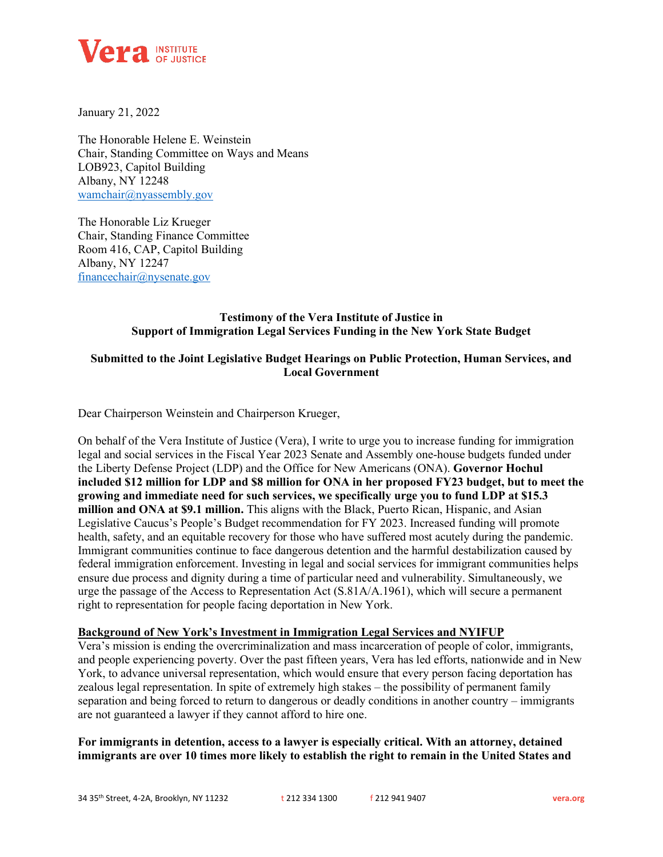

January 21, 2022

The Honorable Helene E. Weinstein Chair, Standing Committee on Ways and Means LOB923, Capitol Building Albany, NY 12248 [wamchair@nyassembly.gov](about:blank)

The Honorable Liz Krueger Chair, Standing Finance Committee Room 416, CAP, Capitol Building Albany, NY 12247 [financechair@nysenate.gov](about:blank)

# **Testimony of the Vera Institute of Justice in Support of Immigration Legal Services Funding in the New York State Budget**

# **Submitted to the Joint Legislative Budget Hearings on Public Protection, Human Services, and Local Government**

Dear Chairperson Weinstein and Chairperson Krueger,

On behalf of the Vera Institute of Justice (Vera), I write to urge you to increase funding for immigration legal and social services in the Fiscal Year 2023 Senate and Assembly one-house budgets funded under the Liberty Defense Project (LDP) and the Office for New Americans (ONA). **Governor Hochul included \$12 million for LDP and \$8 million for ONA in her proposed FY23 budget, but to meet the growing and immediate need for such services, we specifically urge you to fund LDP at \$15.3 million and ONA at \$9.1 million.** This aligns with the Black, Puerto Rican, Hispanic, and Asian Legislative Caucus's People's Budget recommendation for FY 2023. Increased funding will promote health, safety, and an equitable recovery for those who have suffered most acutely during the pandemic. Immigrant communities continue to face dangerous detention and the harmful destabilization caused by federal immigration enforcement. Investing in legal and social services for immigrant communities helps ensure due process and dignity during a time of particular need and vulnerability. Simultaneously, we urge the passage of the Access to Representation Act (S.81A/A.1961), which will secure a permanent right to representation for people facing deportation in New York.

#### **Background of New York's Investment in Immigration Legal Services and NYIFUP**

Vera's mission is ending the overcriminalization and mass incarceration of people of color, immigrants, and people experiencing poverty. Over the past fifteen years, Vera has led efforts, nationwide and in New York, to advance universal representation, which would ensure that every person facing deportation has zealous legal representation. In spite of extremely high stakes – the possibility of permanent family separation and being forced to return to dangerous or deadly conditions in another country – immigrants are not guaranteed a lawyer if they cannot afford to hire one.

**For immigrants in detention, access to a lawyer is especially critical. With an attorney, detained immigrants are over 10 times more likely to establish the right to remain in the United States and**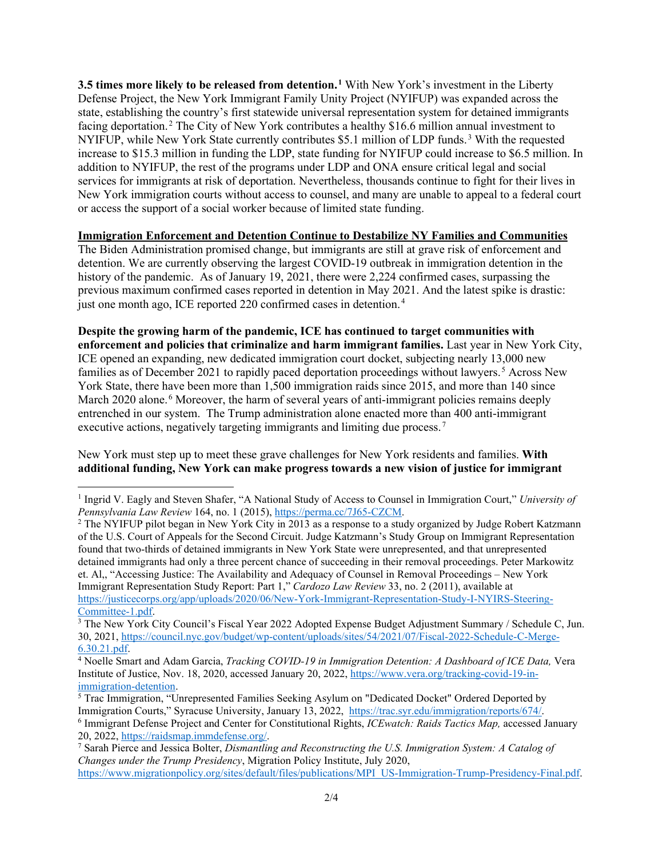**3.5 times more likely to be released from detention.[1](#page-1-0)** With New York's investment in the Liberty Defense Project, the New York Immigrant Family Unity Project (NYIFUP) was expanded across the state, establishing the country's first statewide universal representation system for detained immigrants facing deportation. [2](#page-1-1) The City of New York contributes a healthy \$16.6 million annual investment to NYIFUP, while New York State currently contributes \$5.1 million of LDP funds. [3](#page-1-2) With the requested increase to \$15.3 million in funding the LDP, state funding for NYIFUP could increase to \$6.5 million. In addition to NYIFUP, the rest of the programs under LDP and ONA ensure critical legal and social services for immigrants at risk of deportation. Nevertheless, thousands continue to fight for their lives in New York immigration courts without access to counsel, and many are unable to appeal to a federal court or access the support of a social worker because of limited state funding.

## **Immigration Enforcement and Detention Continue to Destabilize NY Families and Communities**

The Biden Administration promised change, but immigrants are still at grave risk of enforcement and detention. We are currently observing the largest COVID-19 outbreak in immigration detention in the history of the pandemic. As of January 19, 2021, there were 2,224 confirmed cases, surpassing the previous maximum confirmed cases reported in detention in May 2021. And the latest spike is drastic: just one month ago, ICE reported 220 confirmed cases in detention.<sup>[4](#page-1-3)</sup>

**Despite the growing harm of the pandemic, ICE has continued to target communities with enforcement and policies that criminalize and harm immigrant families.** Last year in New York City, ICE opened an expanding, new dedicated immigration court docket, subjecting nearly 13,000 new families as of December 2021 to rapidly paced deportation proceedings without lawyers. [5](#page-1-4) Across New York State, there have been more than 1,500 immigration raids since 2015, and more than 140 since March 2020 alone.<sup>[6](#page-1-5)</sup> Moreover, the harm of several years of anti-immigrant policies remains deeply entrenched in our system. The Trump administration alone enacted more than 400 anti-immigrant executive actions, negatively targeting immigrants and limiting due process.<sup>[7](#page-1-6)</sup>

New York must step up to meet these grave challenges for New York residents and families. **With additional funding, New York can make progress towards a new vision of justice for immigrant** 

<span id="page-1-0"></span><sup>1</sup> Ingrid V. Eagly and Steven Shafer, "A National Study of Access to Counsel in Immigration Court," *University of Pennsylvania Law Review* 164, no. 1 (2015)[, https://perma.cc/7J65-CZCM.](https://perma.cc/7J65-CZCM)

<span id="page-1-1"></span><sup>&</sup>lt;sup>2</sup> The NYIFUP pilot began in New York City in 2013 as a response to a study organized by Judge Robert Katzmann of the U.S. Court of Appeals for the Second Circuit. Judge Katzmann's Study Group on Immigrant Representation found that two-thirds of detained immigrants in New York State were unrepresented, and that unrepresented detained immigrants had only a three percent chance of succeeding in their removal proceedings. Peter Markowitz et. Al,, "Accessing Justice: The Availability and Adequacy of Counsel in Removal Proceedings – New York Immigrant Representation Study Report: Part 1," *Cardozo Law Review* 33, no. 2 (2011), available at [https://justicecorps.org/app/uploads/2020/06/New-York-Immigrant-Representation-Study-I-NYIRS-Steering-](https://justicecorps.org/app/uploads/2020/06/New-York-Immigrant-Representation-Study-I-NYIRS-Steering-Committee-1.pdf)[Committee-1.pdf.](https://justicecorps.org/app/uploads/2020/06/New-York-Immigrant-Representation-Study-I-NYIRS-Steering-Committee-1.pdf)

<span id="page-1-2"></span><sup>&</sup>lt;sup>3</sup> The New York City Council's Fiscal Year 2022 Adopted Expense Budget Adjustment Summary / Schedule C, Jun. 30, 2021, [https://council.nyc.gov/budget/wp-content/uploads/sites/54/2021/07/Fiscal-2022-Schedule-C-Merge-](https://council.nyc.gov/budget/wp-content/uploads/sites/54/2021/07/Fiscal-2022-Schedule-C-Merge-6.30.21.pdf)[6.30.21.pdf.](https://council.nyc.gov/budget/wp-content/uploads/sites/54/2021/07/Fiscal-2022-Schedule-C-Merge-6.30.21.pdf)

<span id="page-1-3"></span><sup>4</sup> Noelle Smart and Adam Garcia, *Tracking COVID-19 in Immigration Detention: A Dashboard of ICE Data,* Vera Institute of Justice, Nov. 18, 2020, accessed January 20, 2022, [https://www.vera.org/tracking-covid-19-in-](https://www.vera.org/tracking-covid-19-in-immigration-detention)

<span id="page-1-4"></span>[immigration-detention.](https://www.vera.org/tracking-covid-19-in-immigration-detention)<br><sup>5</sup> Trac Immigration, "Unrepresented Families Seeking Asylum on "Dedicated Docket" Ordered Deported by<br>Immigration Courts," Syracuse University, January 13, 2022, https://trac.syr.edu/immigration/rep

<span id="page-1-5"></span><sup>&</sup>lt;sup>6</sup> Immigrant Defense Project and Center for Constitutional Rights, *ICEwatch: Raids Tactics Map*, accessed January 20, 2022, [https://raidsmap.immdefense.org/.](https://raidsmap.immdefense.org/)

<span id="page-1-6"></span><sup>7</sup> Sarah Pierce and Jessica Bolter, *Dismantling and Reconstructing the U.S. Immigration System: A Catalog of Changes under the Trump Presidency*, Migration Policy Institute, July 2020, [https://www.migrationpolicy.org/sites/default/files/publications/MPI\\_US-Immigration-Trump-Presidency-Final.pdf.](https://www.migrationpolicy.org/sites/default/files/publications/MPI_US-Immigration-Trump-Presidency-Final.pdf)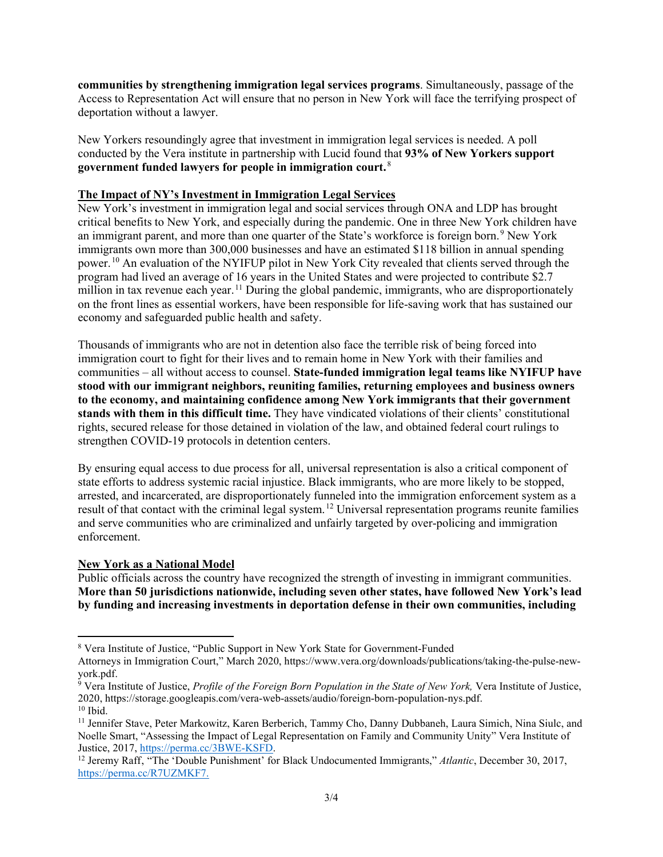**communities by strengthening immigration legal services programs**. Simultaneously, passage of the Access to Representation Act will ensure that no person in New York will face the terrifying prospect of deportation without a lawyer.

New Yorkers resoundingly agree that investment in immigration legal services is needed. A poll conducted by the Vera institute in partnership with Lucid found that **93% of New Yorkers support government funded lawyers for people in immigration court.** [8](#page-2-0)

#### **The Impact of NY's Investment in Immigration Legal Services**

New York's investment in immigration legal and social services through ONA and LDP has brought critical benefits to New York, and especially during the pandemic. One in three New York children have an immigrant parent, and more than one quarter of the State's workforce is foreign born.<sup>[9](#page-2-1)</sup> New York immigrants own more than 300,000 businesses and have an estimated \$118 billion in annual spending power. [10](#page-2-2) An evaluation of the NYIFUP pilot in New York City revealed that clients served through the program had lived an average of 16 years in the United States and were projected to contribute \$2.7 million in tax revenue each year.<sup>[11](#page-2-3)</sup> During the global pandemic, immigrants, who are disproportionately on the front lines as essential workers, have been responsible for life-saving work that has sustained our economy and safeguarded public health and safety.

Thousands of immigrants who are not in detention also face the terrible risk of being forced into immigration court to fight for their lives and to remain home in New York with their families and communities – all without access to counsel. **State-funded immigration legal teams like NYIFUP have stood with our immigrant neighbors, reuniting families, returning employees and business owners to the economy, and maintaining confidence among New York immigrants that their government stands with them in this difficult time.** They have vindicated violations of their clients' constitutional rights, secured release for those detained in violation of the law, and obtained federal court rulings to strengthen COVID-19 protocols in detention centers.

By ensuring equal access to due process for all, universal representation is also a critical component of state efforts to address systemic racial injustice. Black immigrants, who are more likely to be stopped, arrested, and incarcerated, are disproportionately funneled into the immigration enforcement system as a result of that contact with the criminal legal system. [12](#page-2-4) Universal representation programs reunite families and serve communities who are criminalized and unfairly targeted by over-policing and immigration enforcement.

## **New York as a National Model**

Public officials across the country have recognized the strength of investing in immigrant communities. **More than 50 jurisdictions nationwide, including seven other states, have followed New York's lead by funding and increasing investments in deportation defense in their own communities, including** 

<span id="page-2-0"></span><sup>8</sup> Vera Institute of Justice, "Public Support in New York State for Government-Funded

Attorneys in Immigration Court," March 2020, https://www.vera.org/downloads/publications/taking-the-pulse-newyork.pdf.

<span id="page-2-1"></span><sup>9</sup> Vera Institute of Justice, *Profile of the Foreign Born Population in the State of New York,* Vera Institute of Justice, 2020, https://storage.googleapis.com/vera-web-assets/audio/foreign-born-population-nys.pdf.  $10$  Ibid.

<span id="page-2-3"></span><span id="page-2-2"></span><sup>11</sup> Jennifer Stave, Peter Markowitz, Karen Berberich, Tammy Cho, Danny Dubbaneh, Laura Simich, Nina Siulc, and Noelle Smart, "Assessing the Impact of Legal Representation on Family and Community Unity" Vera Institute of Justice, 2017, [https://perma.cc/3BWE-KSFD.](https://perma.cc/3BWE-KSFD)

<span id="page-2-4"></span><sup>&</sup>lt;sup>12</sup> Jeremy Raff, "The 'Double Punishment' for Black Undocumented Immigrants," Atlantic, December 30, 2017, [https://perma.cc/R7UZMKF7.](https://perma.cc/R7UZMKF7)